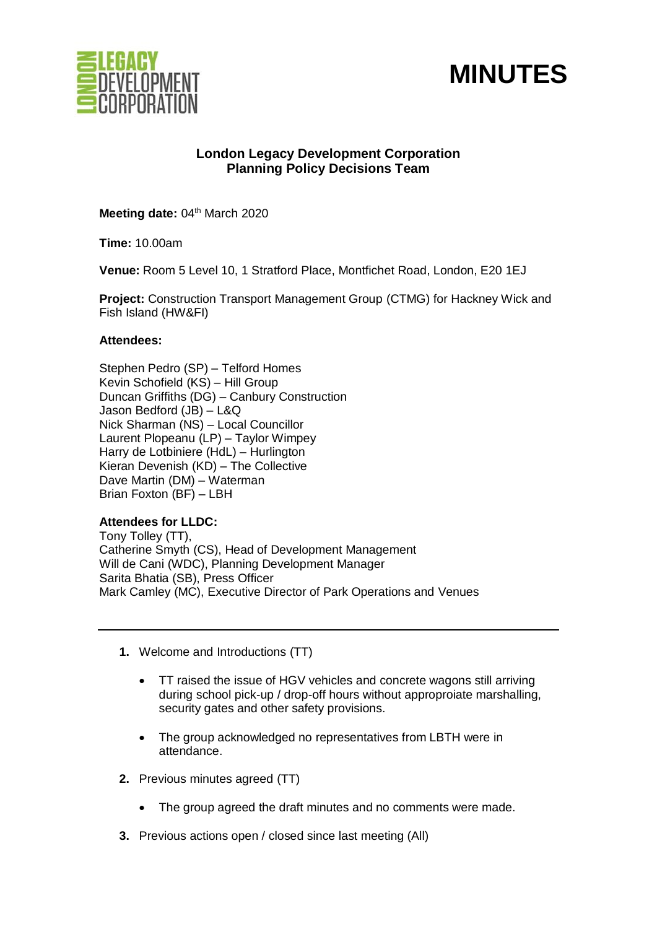



# **London Legacy Development Corporation Planning Policy Decisions Team**

Meeting date: 04<sup>th</sup> March 2020

**Time:** 10.00am

**Venue:** Room 5 Level 10, 1 Stratford Place, Montfichet Road, London, E20 1EJ

**Project:** Construction Transport Management Group (CTMG) for Hackney Wick and Fish Island (HW&FI)

# **Attendees:**

Stephen Pedro (SP) – Telford Homes Kevin Schofield (KS) – Hill Group Duncan Griffiths (DG) – Canbury Construction Jason Bedford (JB) – L&Q Nick Sharman (NS) – Local Councillor Laurent Plopeanu (LP) – Taylor Wimpey Harry de Lotbiniere (HdL) – Hurlington Kieran Devenish (KD) – The Collective Dave Martin (DM) – Waterman Brian Foxton (BF) – LBH

# **Attendees for LLDC:**

Tony Tolley (TT), Catherine Smyth (CS), Head of Development Management Will de Cani (WDC), Planning Development Manager Sarita Bhatia (SB), Press Officer Mark Camley (MC), Executive Director of Park Operations and Venues

- **1.** Welcome and Introductions (TT)
	- TT raised the issue of HGV vehicles and concrete wagons still arriving during school pick-up / drop-off hours without approproiate marshalling, security gates and other safety provisions.
	- The group acknowledged no representatives from LBTH were in attendance.
- **2.** Previous minutes agreed (TT)
	- The group agreed the draft minutes and no comments were made.
- **3.** Previous actions open / closed since last meeting (All)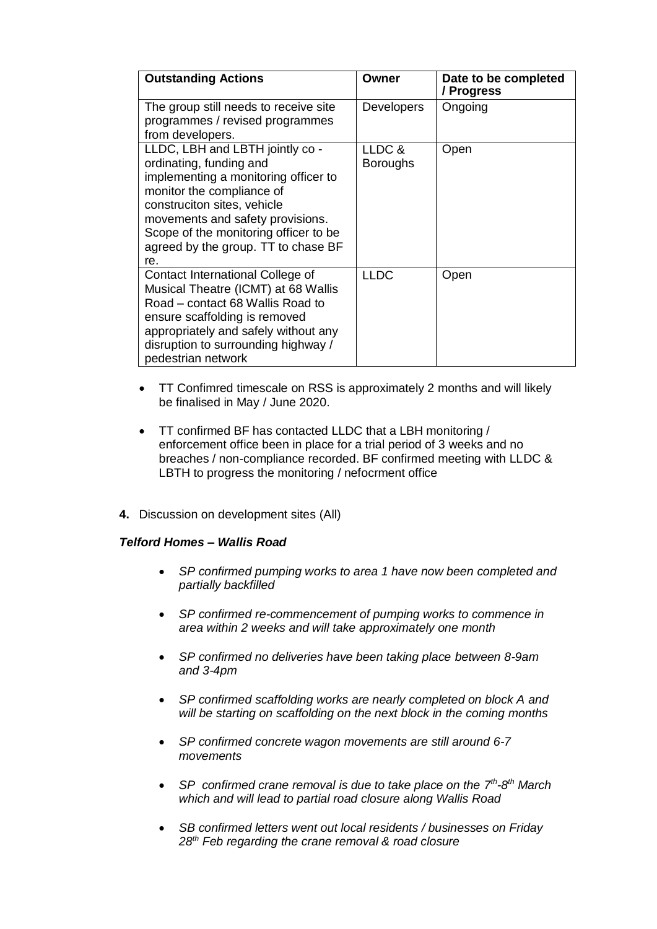| <b>Outstanding Actions</b>                                                                                                                                                                                                                                                                | Owner                     | Date to be completed<br>/ Progress |
|-------------------------------------------------------------------------------------------------------------------------------------------------------------------------------------------------------------------------------------------------------------------------------------------|---------------------------|------------------------------------|
| The group still needs to receive site<br>programmes / revised programmes<br>from developers.                                                                                                                                                                                              | <b>Developers</b>         | Ongoing                            |
| LLDC, LBH and LBTH jointly co -<br>ordinating, funding and<br>implementing a monitoring officer to<br>monitor the compliance of<br>construciton sites, vehicle<br>movements and safety provisions.<br>Scope of the monitoring officer to be<br>agreed by the group. TT to chase BF<br>re. | LLDC &<br><b>Boroughs</b> | Open                               |
| Contact International College of<br>Musical Theatre (ICMT) at 68 Wallis<br>Road – contact 68 Wallis Road to<br>ensure scaffolding is removed<br>appropriately and safely without any<br>disruption to surrounding highway /<br>pedestrian network                                         | <b>LLDC</b>               | Open                               |

- TT Confimred timescale on RSS is approximately 2 months and will likely be finalised in May / June 2020.
- TT confirmed BF has contacted LLDC that a LBH monitoring / enforcement office been in place for a trial period of 3 weeks and no breaches / non-compliance recorded. BF confirmed meeting with LLDC & LBTH to progress the monitoring / nefocrment office
- **4.** Discussion on development sites (All)

# *Telford Homes – Wallis Road*

- *SP confirmed pumping works to area 1 have now been completed and partially backfilled*
- *SP confirmed re-commencement of pumping works to commence in area within 2 weeks and will take approximately one month*
- *SP confirmed no deliveries have been taking place between 8-9am and 3-4pm*
- *SP confirmed scaffolding works are nearly completed on block A and will be starting on scaffolding on the next block in the coming months*
- *SP confirmed concrete wagon movements are still around 6-7 movements*
- SP confirmed crane removal is due to take place on the  $7<sup>th</sup>$ -8<sup>th</sup> March *which and will lead to partial road closure along Wallis Road*
- *SB confirmed letters went out local residents / businesses on Friday 28th Feb regarding the crane removal & road closure*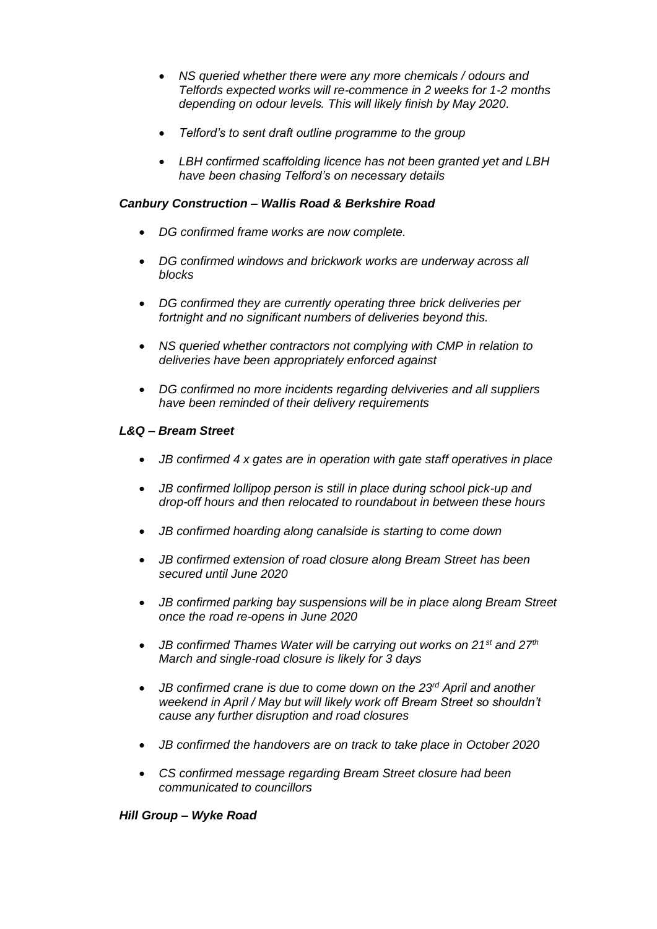- *NS queried whether there were any more chemicals / odours and Telfords expected works will re-commence in 2 weeks for 1-2 months depending on odour levels. This will likely finish by May 2020.*
- *Telford's to sent draft outline programme to the group*
- *LBH confirmed scaffolding licence has not been granted yet and LBH have been chasing Telford's on necessary details*

## *Canbury Construction – Wallis Road & Berkshire Road*

- *DG confirmed frame works are now complete.*
- *DG confirmed windows and brickwork works are underway across all blocks*
- *DG confirmed they are currently operating three brick deliveries per fortnight and no significant numbers of deliveries beyond this.*
- *NS queried whether contractors not complying with CMP in relation to deliveries have been appropriately enforced against*
- *DG confirmed no more incidents regarding delviveries and all suppliers have been reminded of their delivery requirements*

### *L&Q – Bream Street*

- *JB confirmed 4 x gates are in operation with gate staff operatives in place*
- *JB confirmed lollipop person is still in place during school pick-up and drop-off hours and then relocated to roundabout in between these hours*
- *JB confirmed hoarding along canalside is starting to come down*
- *JB confirmed extension of road closure along Bream Street has been secured until June 2020*
- *JB confirmed parking bay suspensions will be in place along Bream Street once the road re-opens in June 2020*
- *JB confirmed Thames Water will be carrying out works on 21st and 27th March and single-road closure is likely for 3 days*
- *JB confirmed crane is due to come down on the 23rd April and another weekend in April / May but will likely work off Bream Street so shouldn't cause any further disruption and road closures*
- *JB confirmed the handovers are on track to take place in October 2020*
- *CS confirmed message regarding Bream Street closure had been communicated to councillors*

#### *Hill Group – Wyke Road*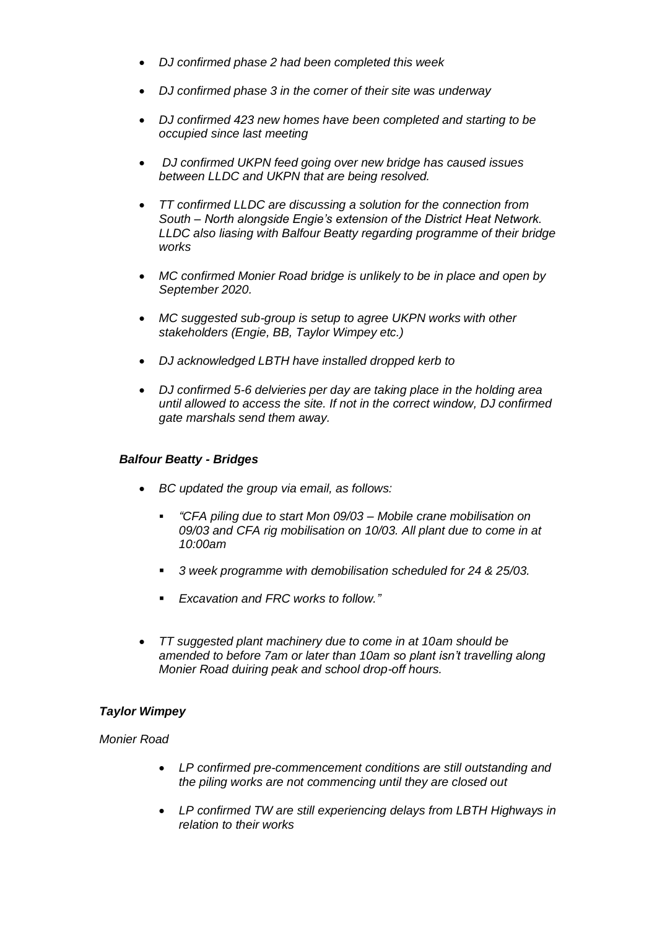- *DJ confirmed phase 2 had been completed this week*
- *DJ confirmed phase 3 in the corner of their site was underway*
- *DJ confirmed 423 new homes have been completed and starting to be occupied since last meeting*
- *DJ confirmed UKPN feed going over new bridge has caused issues between LLDC and UKPN that are being resolved.*
- *TT confirmed LLDC are discussing a solution for the connection from South – North alongside Engie's extension of the District Heat Network. LLDC also liasing with Balfour Beatty regarding programme of their bridge works*
- *MC confirmed Monier Road bridge is unlikely to be in place and open by September 2020.*
- *MC suggested sub-group is setup to agree UKPN works with other stakeholders (Engie, BB, Taylor Wimpey etc.)*
- *DJ acknowledged LBTH have installed dropped kerb to*
- *DJ confirmed 5-6 delvieries per day are taking place in the holding area until allowed to access the site. If not in the correct window, DJ confirmed gate marshals send them away.*

# *Balfour Beatty - Bridges*

- *BC updated the group via email, as follows:*
	- *"CFA piling due to start Mon 09/03 – Mobile crane mobilisation on 09/03 and CFA rig mobilisation on 10/03. All plant due to come in at 10:00am*
	- *3 week programme with demobilisation scheduled for 24 & 25/03.*
	- *Excavation and FRC works to follow."*
- *TT suggested plant machinery due to come in at 10am should be amended to before 7am or later than 10am so plant isn't travelling along Monier Road duiring peak and school drop-off hours.*

# *Taylor Wimpey*

# *Monier Road*

- *LP confirmed pre-commencement conditions are still outstanding and the piling works are not commencing until they are closed out*
- *LP confirmed TW are still experiencing delays from LBTH Highways in relation to their works*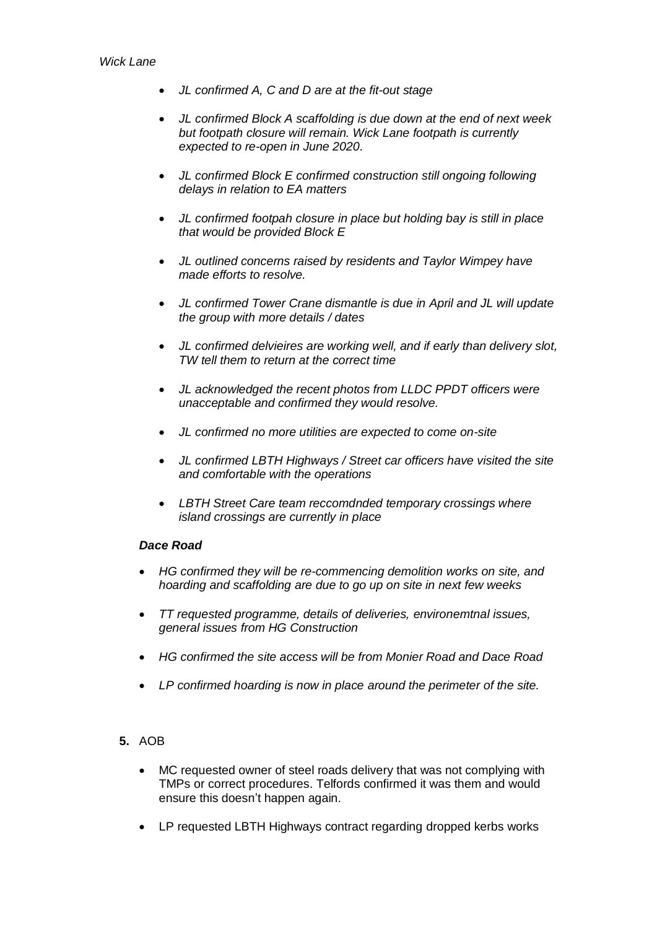- *JL confirmed A, C and D are at the fit-out stage*
- *JL confirmed Block A scaffolding is due down at the end of next week but footpath closure will remain. Wick Lane footpath is currently expected to re-open in June 2020.*
- *JL confirmed Block E confirmed construction still ongoing following delays in relation to EA matters*
- *JL confirmed footpah closure in place but holding bay is still in place that would be provided Block E*
- *JL outlined concerns raised by residents and Taylor Wimpey have made efforts to resolve.*
- *JL confirmed Tower Crane dismantle is due in April and JL will update the group with more details / dates*
- *JL confirmed delvieires are working well, and if early than delivery slot, TW tell them to return at the correct time*
- *JL acknowledged the recent photos from LLDC PPDT officers were unacceptable and confirmed they would resolve.*
- *JL confirmed no more utilities are expected to come on-site*
- *JL confirmed LBTH Highways / Street car officers have visited the site and comfortable with the operations*
- *LBTH Street Care team reccomdnded temporary crossings where island crossings are currently in place*

# *Dace Road*

- *HG confirmed they will be re-commencing demolition works on site, and hoarding and scaffolding are due to go up on site in next few weeks*
- *TT requested programme, details of deliveries, environemtnal issues, general issues from HG Construction*
- *HG confirmed the site access will be from Monier Road and Dace Road*
- *LP confirmed hoarding is now in place around the perimeter of the site.*

# **5.** AOB

- MC requested owner of steel roads delivery that was not complying with TMPs or correct procedures. Telfords confirmed it was them and would ensure this doesn't happen again.
- LP requested LBTH Highways contract regarding dropped kerbs works